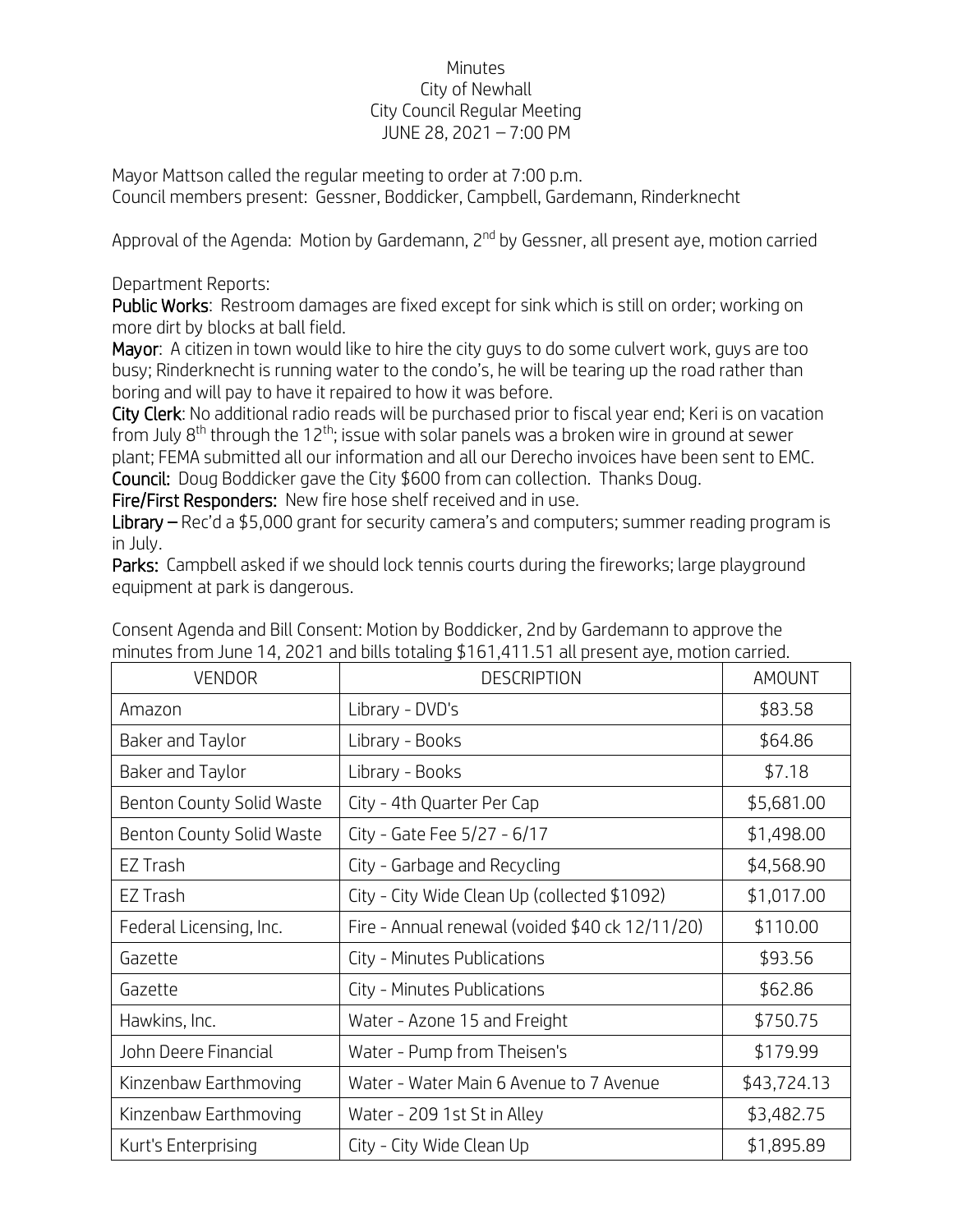## Minutes City of Newhall City Council Regular Meeting JUNE 28, 2021 – 7:00 PM

Mayor Mattson called the regular meeting to order at 7:00 p.m. Council members present: Gessner, Boddicker, Campbell, Gardemann, Rinderknecht

Approval of the Agenda: Motion by Gardemann, 2<sup>nd</sup> by Gessner, all present aye, motion carried

## Department Reports:

Public Works: Restroom damages are fixed except for sink which is still on order; working on more dirt by blocks at ball field.

Mayor: A citizen in town would like to hire the city guys to do some culvert work, guys are too busy; Rinderknecht is running water to the condo's, he will be tearing up the road rather than boring and will pay to have it repaired to how it was before.

City Clerk: No additional radio reads will be purchased prior to fiscal year end; Keri is on vacation from July  $8<sup>th</sup>$  through the 12<sup>th</sup>; issue with solar panels was a broken wire in ground at sewer plant; FEMA submitted all our information and all our Derecho invoices have been sent to EMC. Council: Doug Boddicker gave the City \$600 from can collection. Thanks Doug.

Fire/First Responders: New fire hose shelf received and in use.

Library – Rec'd a \$5,000 grant for security camera's and computers; summer reading program is in July.

Parks: Campbell asked if we should lock tennis courts during the fireworks; large playground equipment at park is dangerous.

| <b>VENDOR</b>             | <b>DESCRIPTION</b>                              | AMOUNT      |
|---------------------------|-------------------------------------------------|-------------|
| Amazon                    | Library - DVD's                                 | \$83.58     |
| Baker and Taylor          | Library - Books                                 | \$64.86     |
| Baker and Taylor          | Library - Books                                 | \$7.18      |
| Benton County Solid Waste | City - 4th Quarter Per Cap                      | \$5,681.00  |
| Benton County Solid Waste | City - Gate Fee 5/27 - 6/17                     | \$1,498.00  |
| EZ Trash                  | City - Garbage and Recycling                    | \$4,568.90  |
| EZ Trash                  | City - City Wide Clean Up (collected \$1092)    | \$1,017.00  |
| Federal Licensing, Inc.   | Fire - Annual renewal (voided \$40 ck 12/11/20) | \$110.00    |
| Gazette                   | City - Minutes Publications                     | \$93.56     |
| Gazette                   | City - Minutes Publications                     | \$62.86     |
| Hawkins, Inc.             | Water - Azone 15 and Freight                    | \$750.75    |
| John Deere Financial      | Water - Pump from Theisen's                     | \$179.99    |
| Kinzenbaw Earthmoving     | Water - Water Main 6 Avenue to 7 Avenue         | \$43,724.13 |
| Kinzenbaw Earthmoving     | Water - 209 1st St in Alley                     | \$3,482.75  |
| Kurt's Enterprising       | City - City Wide Clean Up                       | \$1,895.89  |

Consent Agenda and Bill Consent: Motion by Boddicker, 2nd by Gardemann to approve the minutes from June 14, 2021 and bills totaling \$161,411.51 all present aye, motion carried.